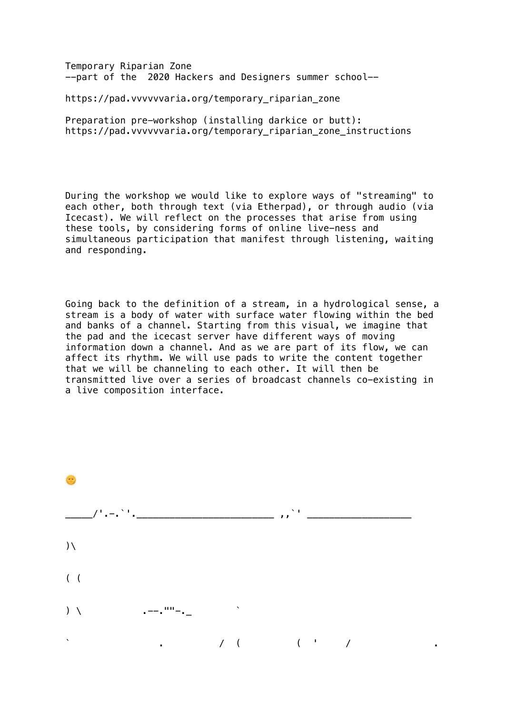Temporary Riparian Zone --part of the 2020 Hackers and Designers summer school- i<br>L

https://pad.vvvvvvaria.org/temporary\_riparian\_zone

Preparation pre-workshop (installing darkice or butt): https://pad.vvvvvvaria.org/temporary\_riparian\_zone\_instructions

During the workshop we would like to explore ways of "streaming" to each other, both through text (via Etherpad), or through audio (via Icecast). We will reflect on the processes that arise from using these tools, by considering forms of online live-ness and simultaneous participation that manifest through listening, waiting and responding.

Going back to the definition of a stream, in a hydrological sense, a stream is a body of water with surface water flowing within the bed and banks of a channel. Starting from this visual, we imagine that the pad and the icecast server have different ways of moving information down a channel. And as we are part of its flow, we can affect its rhythm. We will use pads to write the content together that we will be channeling to each other. It will then be transmitted live over a series of broadcast channels co-existing in a live composition interface.

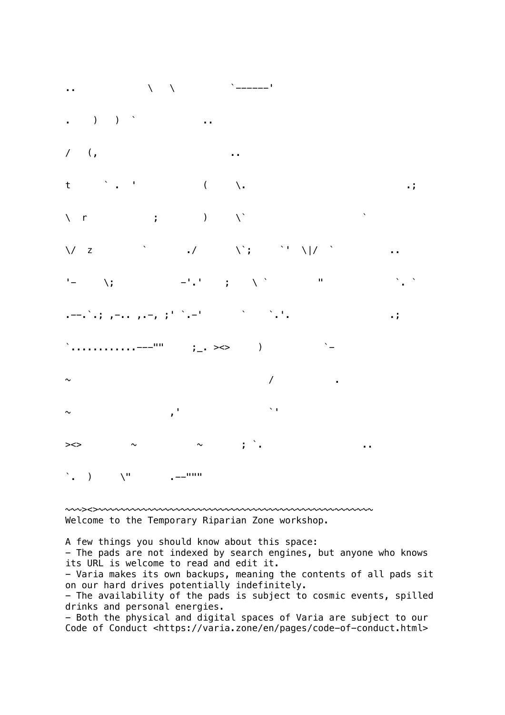.. \ \ `------'  $\blacksquare$  ) ) ` ... / (, ..  $t \qquad \qquad$  .  $( \qquad \backslash .$  $\setminus$  r ; )  $\setminus$   $\setminus$  $\bigvee$  z  $\qquad \qquad \qquad \qquad \qquad \setminus \qquad \qquad \setminus \qquad \qquad \setminus \qquad \qquad \setminus \qquad \qquad \setminus \big| /$ '- \; -'.' ; \` " . `.` .--.`.; ,-.. ,.-, ;' `.-' ` `.'. .; `............---"" ;\_. ><> ) `-  $\sim$   $/$  . The set of  $\sim$   $/$  . The set of  $\sim$  .  $\sim$  ,  $\frac{1}{\sqrt{2}}$  ,  $\sim$  ,  $\frac{1}{\sqrt{2}}$  ,  $\sim$  ,  $\frac{1}{\sqrt{2}}$  ,  $\sim$  ,  $\sim$  ,  $\sim$  ,  $\sim$  ,  $\sim$  ,  $\sim$  ,  $\sim$  ,  $\sim$  ,  $\sim$  ,  $\sim$  ,  $\sim$  ,  $\sim$  ,  $\sim$  ,  $\sim$  ,  $\sim$  ,  $\sim$  ,  $\sim$  ,  $\sim$  ,  $\sim$  ,  $\sim$  ,  $\sim$  ,  $\sim$  , ><> ~ ~ ; `. ..  $\sum_{i=1}^{n}$  )  $\sum_{i=1}^{n}$  .--"""

~~~><>~~~~~~~~~~~~~~~~~~~~~~~~~~~~~~~~~~~~~~~~~~~~~~~~~~ Welcome to the Temporary Riparian Zone workshop.

A few things you should know about this space: - The pads are not indexed by search engines, but anyone who knows its URL is welcome to read and edit it. - Varia makes its own backups, meaning the contents of all pads sit on our hard drives potentially indefinitely. - The availability of the pads is subject to cosmic events, spilled drinks and personal energies. - Both the physical and digital spaces of Varia are subject to our Code of Conduct <https://varia.zone/en/pages/code-of-conduct.html>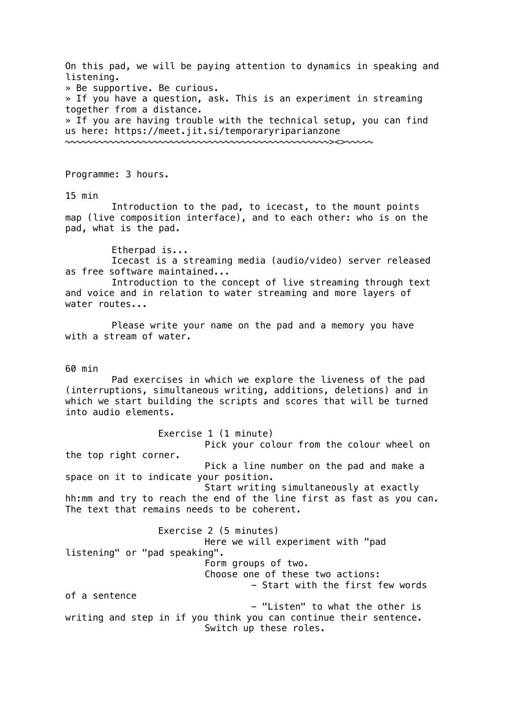On this pad, we will be paying attention to dynamics in speaking and listening. » Be supportive. Be curious. » If you have a question, ask. This is an experiment in streaming together from a distance. » If you are having trouble with the technical setup, you can find us here: https://meet.jit.si/temporaryriparianzone ~~~~~~~~~~~~~~~~~~~~~~~~~~~~~~~~~~~~~~~~~~~~~~~~><>~~~~~

Programme: 3 hours.

15 min

Introduction to the pad, to icecast, to the mount points map (live composition interface), and to each other: who is on the pad, what is the pad.

Etherpad is...

Icecast is a streaming media (audio/video) server released as free software maintained...

Introduction to the concept of live streaming through text and voice and in relation to water streaming and more layers of water routes...

Please write your name on the pad and a memory you have with a stream of water.

60 min

Pad exercises in which we explore the liveness of the pad (interruptions, simultaneous writing, additions, deletions) and in which we start building the scripts and scores that will be turned into audio elements.

Exercise 1 (1 minute)

Pick your colour from the colour wheel on the top right corner. Pick a line number on the pad and make a

space on it to indicate your position.

Start writing simultaneously at exactly hh:mm and try to reach the end of the line first as fast as you can. The text that remains needs to be coherent.

Exercise 2 (5 minutes) Here we will experiment with "pad listening" or "pad speaking". Form groups of two. Choose one of these two actions: - Start with the first few words of a sentence - "Listen" to what the other is writing and step in if you think you can continue their sentence. Switch up these roles.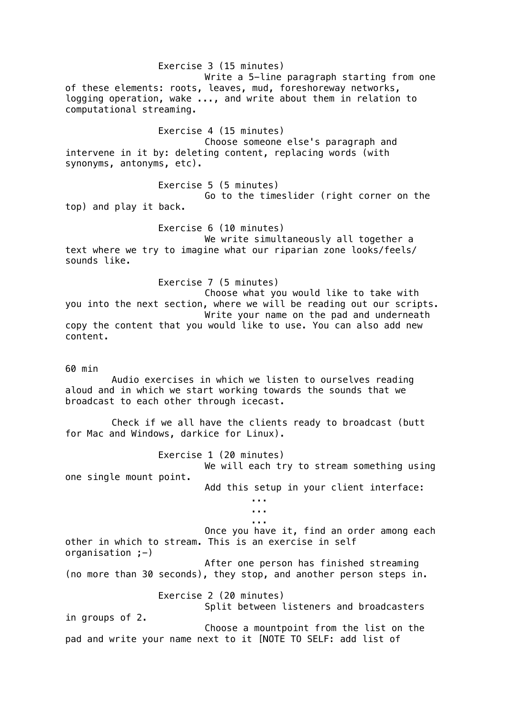Exercise 3 (15 minutes) Write a 5-line paragraph starting from one of these elements: roots, leaves, mud, foreshoreway networks, logging operation, wake ..., and write about them in relation to computational streaming. Exercise 4 (15 minutes) Choose someone else's paragraph and intervene in it by: deleting content, replacing words (with synonyms, antonyms, etc). Exercise 5 (5 minutes) Go to the timeslider (right corner on the top) and play it back. Exercise 6 (10 minutes) We write simultaneously all together a text where we try to imagine what our riparian zone looks/feels/ sounds like. Exercise 7 (5 minutes) Choose what you would like to take with you into the next section, where we will be reading out our scripts. Write your name on the pad and underneath copy the content that you would like to use. You can also add new content. 60 min Audio exercises in which we listen to ourselves reading aloud and in which we start working towards the sounds that we broadcast to each other through icecast. Check if we all have the clients ready to broadcast (butt for Mac and Windows, darkice for Linux). Exercise 1 (20 minutes) We will each try to stream something using one single mount point. Add this setup in your client interface: ... ... ... Once you have it, find an order among each other in which to stream. This is an exercise in self organisation  $;-)$ After one person has finished streaming (no more than 30 seconds), they stop, and another person steps in. Exercise 2 (20 minutes) Split between listeners and broadcasters in groups of 2. Choose a mountpoint from the list on the pad and write your name next to it [NOTE TO SELF: add list of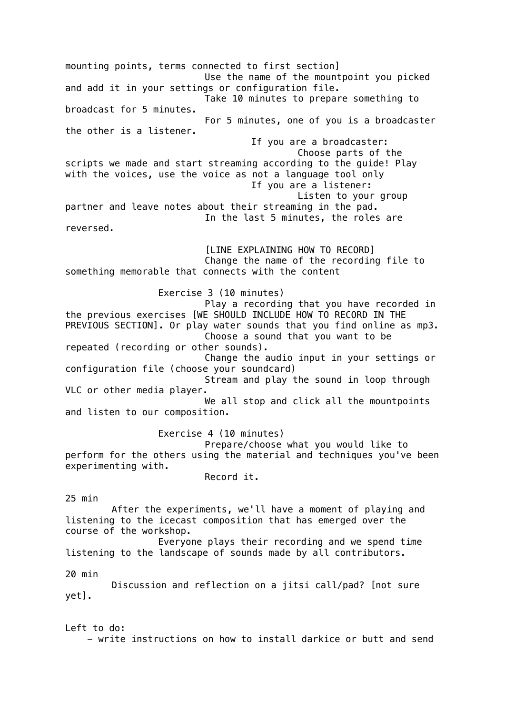mounting points, terms connected to first section] Use the name of the mountpoint you picked and add it in your settings or configuration file. Take 10 minutes to prepare something to broadcast for 5 minutes. For 5 minutes, one of you is a broadcaster the other is a listener. If you are a broadcaster: Choose parts of the scripts we made and start streaming according to the guide! Play with the voices, use the voice as not a language tool only If you are a listener: Listen to your group partner and leave notes about their streaming in the pad. In the last 5 minutes, the roles are reversed. [LINE EXPLAINING HOW TO RECORD] Change the name of the recording file to something memorable that connects with the content Exercise 3 (10 minutes) Play a recording that you have recorded in the previous exercises [WE SHOULD INCLUDE HOW TO RECORD IN THE PREVIOUS SECTION]. Or play water sounds that you find online as mp3. Choose a sound that you want to be repeated (recording or other sounds). Change the audio input in your settings or configuration file (choose your soundcard) Stream and play the sound in loop through VLC or other media player. We all stop and click all the mountpoints and listen to our composition. Exercise 4 (10 minutes) Prepare/choose what you would like to perform for the others using the material and techniques you've been experimenting with. Record it. 25 min After the experiments, we'll have a moment of playing and listening to the icecast composition that has emerged over the course of the workshop. Everyone plays their recording and we spend time listening to the landscape of sounds made by all contributors. 20 min Discussion and reflection on a jitsi call/pad? [not sure yet].

Left to do: - write instructions on how to install darkice or butt and send